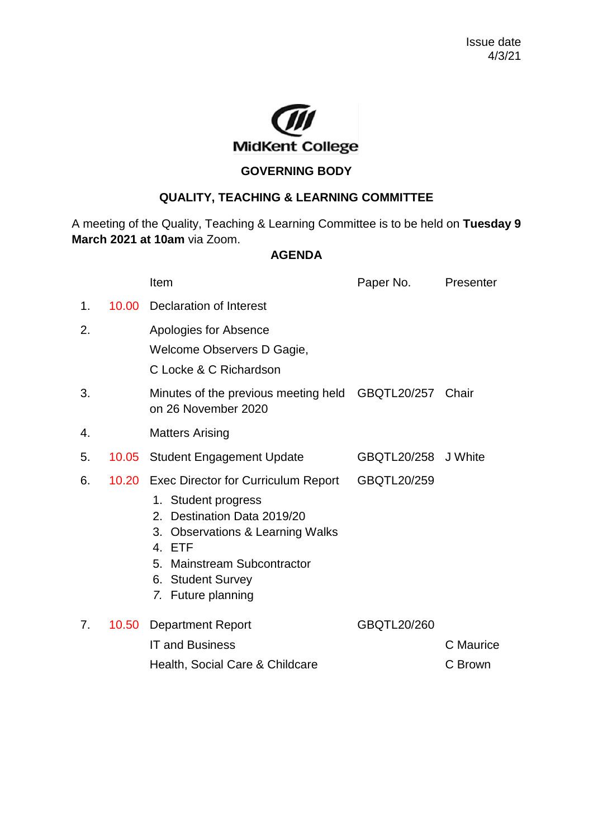

## **GOVERNING BODY**

## **QUALITY, TEACHING & LEARNING COMMITTEE**

A meeting of the Quality, Teaching & Learning Committee is to be held on **Tuesday 9 March 2021 at 10am** via Zoom.

## **AGENDA**

|    |       | Item                                                                                                                                                                       | Paper No.           | Presenter |
|----|-------|----------------------------------------------------------------------------------------------------------------------------------------------------------------------------|---------------------|-----------|
| 1. | 10.00 | Declaration of Interest                                                                                                                                                    |                     |           |
| 2. |       | Apologies for Absence                                                                                                                                                      |                     |           |
|    |       | Welcome Observers D Gagie,                                                                                                                                                 |                     |           |
|    |       | C Locke & C Richardson                                                                                                                                                     |                     |           |
| 3. |       | Minutes of the previous meeting held GBQTL20/257 Chair<br>on 26 November 2020                                                                                              |                     |           |
| 4. |       | <b>Matters Arising</b>                                                                                                                                                     |                     |           |
| 5. | 10.05 | <b>Student Engagement Update</b>                                                                                                                                           | GBQTL20/258 J White |           |
| 6. |       | 10.20 Exec Director for Curriculum Report                                                                                                                                  | GBQTL20/259         |           |
|    |       | 1. Student progress<br>2. Destination Data 2019/20<br>3. Observations & Learning Walks<br>4. ETF<br>5. Mainstream Subcontractor<br>6. Student Survey<br>7. Future planning |                     |           |
| 7. | 10.50 | <b>Department Report</b>                                                                                                                                                   | GBQTL20/260         |           |
|    |       | <b>IT and Business</b>                                                                                                                                                     |                     | C Maurice |
|    |       | Health, Social Care & Childcare                                                                                                                                            |                     | C Brown   |